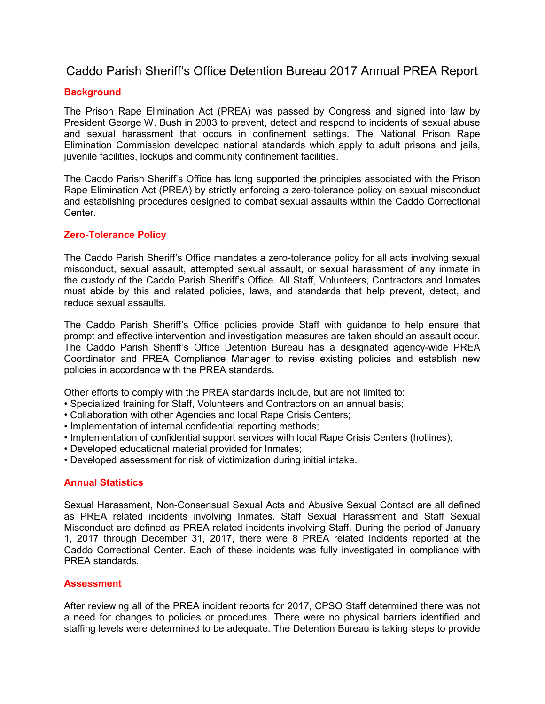#### Caddo Parish Sheriff's Office Detention Bureau 2017 Annual PREA Report

#### **Background**

The Prison Rape Elimination Act (PREA) was passed by Congress and signed into law by President George W. Bush in 2003 to prevent, detect and respond to incidents of sexual abuse and sexual harassment that occurs in confinement settings. The National Prison Rape Elimination Commission developed national standards which apply to adult prisons and jails, juvenile facilities, lockups and community confinement facilities.

The Caddo Parish Sheriff's Office has long supported the principles associated with the Prison Rape Elimination Act (PREA) by strictly enforcing a zero-tolerance policy on sexual misconduct and establishing procedures designed to combat sexual assaults within the Caddo Correctional Center.

#### Zero-Tolerance Policy

The Caddo Parish Sheriff's Office mandates a zero-tolerance policy for all acts involving sexual misconduct, sexual assault, attempted sexual assault, or sexual harassment of any inmate in the custody of the Caddo Parish Sheriff's Office. All Staff, Volunteers, Contractors and Inmates must abide by this and related policies, laws, and standards that help prevent, detect, and reduce sexual assaults.

The Caddo Parish Sheriff's Office policies provide Staff with guidance to help ensure that prompt and effective intervention and investigation measures are taken should an assault occur. The Caddo Parish Sheriff's Office Detention Bureau has a designated agency-wide PREA Coordinator and PREA Compliance Manager to revise existing policies and establish new policies in accordance with the PREA standards.

Other efforts to comply with the PREA standards include, but are not limited to:

- Specialized training for Staff, Volunteers and Contractors on an annual basis;
- Collaboration with other Agencies and local Rape Crisis Centers;
- Implementation of internal confidential reporting methods;
- Implementation of confidential support services with local Rape Crisis Centers (hotlines);
- Developed educational material provided for Inmates;
- Developed assessment for risk of victimization during initial intake.

#### Annual Statistics

Sexual Harassment, Non-Consensual Sexual Acts and Abusive Sexual Contact are all defined as PREA related incidents involving Inmates. Staff Sexual Harassment and Staff Sexual Misconduct are defined as PREA related incidents involving Staff. During the period of January 1, 2017 through December 31, 2017, there were 8 PREA related incidents reported at the Caddo Correctional Center. Each of these incidents was fully investigated in compliance with PREA standards.

#### **Assessment**

After reviewing all of the PREA incident reports for 2017, CPSO Staff determined there was not a need for changes to policies or procedures. There were no physical barriers identified and staffing levels were determined to be adequate. The Detention Bureau is taking steps to provide